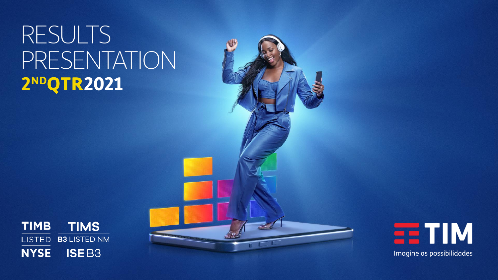# **RESULTS** PRESENTATION 2NDQTR2021





Imagine as possibilidades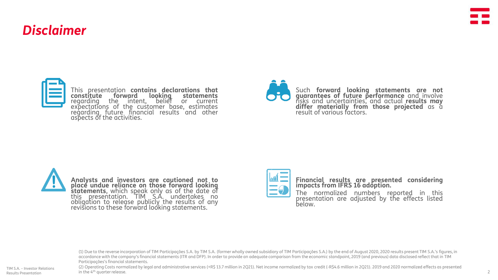# *Disclaimer*



This presentation **contains declarations that constitute forward looking statements** regarding the intent, belief or current expectations of the customer base, estimates regarding future financial results and other aspects of the activities.





**Analysts and investors are cautioned not to place undue reliance on those forward looking statements**, which speak only as of the date of this presentation. TIM S.A. undertakes no obligation to release publicly the results of any revisions to these forward looking statements.



**Financial results are presented considering impacts from IFRS 16 adoption.**

The normalized numbers reported in this presentation are adjusted by the effects listed below.

(1) Due to the reverse incorporation of TIM Participações S.A. by TIM S.A. (former wholly owned subsidiary of TIM Participações S.A.) by the end of August 2020, 2020 results present TIM S.A.'s figures, in accordance with the company's financial statements (ITR and DFP). In order to provide an adequate comparison from the economic standpoint, 2019 (and previous) data disclosed reflect that in TIM Participações's financial statements.

(2) Operating Costs normalized by legal and administrative services (+R\$ 13.7 million in 2Q21). Net income normalized by tax credit (-R\$4.6 million in 2Q21). 2019 and 2020 normalized effects as presented in the 4th quarter release.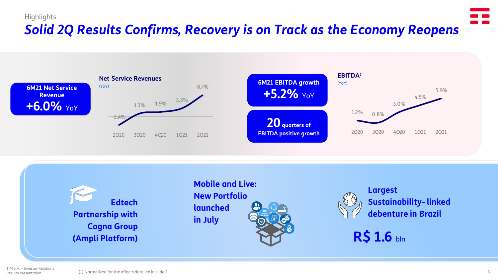# **Highlights** *Solid 2Q Results Confirms, Recovery is on Track as the Economy Reopens*





**Mobile and Live: New Portfolio launched in July**



**Largest Sustainability- linked debenture in Brazil**

**R\$ 1.6** bln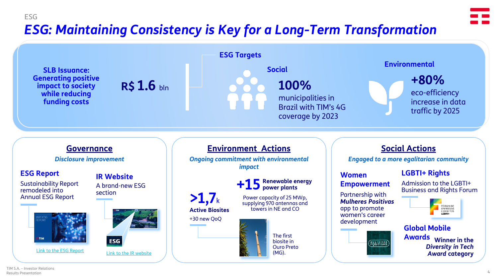# ESG *ESG: Maintaining Consistency is Key for a Long-Term Transformation*

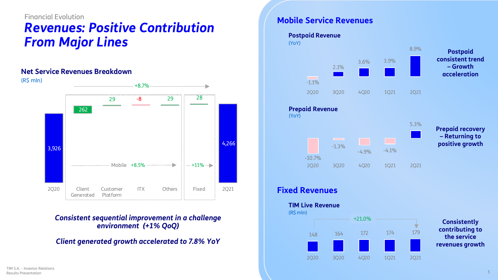# Financial Evolution *Revenues: Positive Contribution From Major Lines*

#### **Net Service Revenues Breakdown**



*Consistent sequential improvement in a challenge environment (+1% QoQ)*

### *Client generated growth accelerated to 7.8% YoY*

Classificado como Público

### **Mobile Service Revenues**

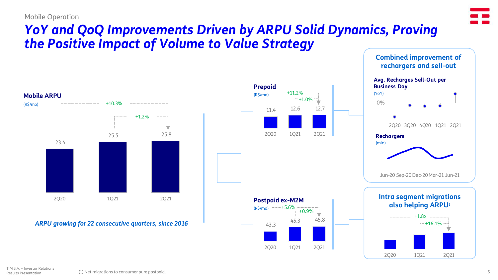#### Mobile Operation



**Combined improvement of** 

# *YoY and QoQ Improvements Driven by ARPU Solid Dynamics, Proving the Positive Impact of Volume to Value Strategy*

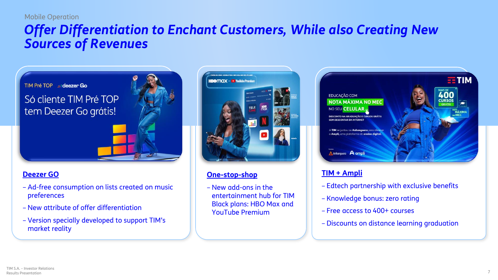#### Mobile Operation

# *Offer Differentiation to Enchant Customers, While also Creating New Sources of Revenues*



Só cliente TIM Pré TOP tem Deezer Go grátis!



### **Deezer GO**

- Ad-free consumption on lists created on music preferences
- New attribute of offer differentiation
- Version specially developed to support TIM's market reality



## **One-stop-shop**

– New add-ons in the entertainment hub for TIM Black plans: HBO Max and YouTube Premium



## **TIM + Ampli**

- Edtech partnership with exclusive benefits
- Knowledge bonus: zero rating
- Free access to 400+ courses
- Discounts on distance learning graduation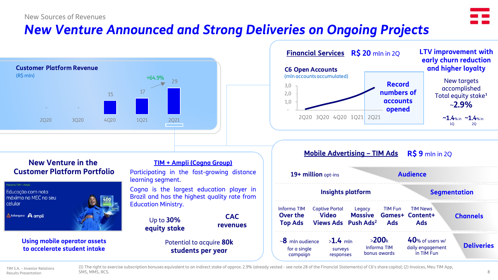#### New Sources of Revenues



# *New Venture Announced and Strong Deliveries on Ongoing Projects*



#### **Financial Services R\$ 20** mln in 2Q - 1,0 2,0 3,0 2Q20 3Q20 4Q20 1Q21 2Q21 **C6 Open Accounts** (mln accounts accumulated) **~1.4**% in **~1.4**% in  $2<sub>Q</sub>$ New targets accomplished Total equity stake<sup>1</sup> ~**2.9%** 1Q **Record numbers of accounts opened LTV improvement with early churn reduction and higher loyalty**

### **New Venture in the Customer Platform Portfolio**



**Using mobile operator assets to accelerate student intake**

#### **TIM + Ampli (Cogna Group)**

Participating in the fast-growing distance learning segment.

Cogna is the largest education player in Brazil and has the highest quality rate from Education Ministry.

> Up to **30% equity stake**

> > Potential to acquire **80k students per year**

**CAC revenues**

| <b>Mobile Advertising - TIM Ads</b><br><b>R\$ 9</b> mln in 2Q |                                       |                                           |                                      |                                                                 |                   |
|---------------------------------------------------------------|---------------------------------------|-------------------------------------------|--------------------------------------|-----------------------------------------------------------------|-------------------|
|                                                               | 19+ million opt-ins                   |                                           |                                      | <b>Audience</b>                                                 |                   |
| <b>Segmentation</b><br><b>Insights platform</b>               |                                       |                                           |                                      |                                                                 |                   |
| Informa TIM<br>Over the<br><b>Top Ads</b>                     | <b>Captive Portal</b><br><b>Video</b> | Legacy<br>Views Ads Push Ads <sup>2</sup> | <b>TIM Fun</b><br>Ads                | <b>TIM News</b><br><b>Massive Games+ Content+</b><br><b>Ads</b> | <b>Channels</b>   |
| $\sim$ 8 mln audience<br>for a single<br>campaign             | $>1.4$ mln<br>surveys<br>responses    |                                           | >200k<br>Informa TIM<br>bonus awards | $40%$ of users w/<br>daily engagement<br>in TIM Fun             | <b>Deliveries</b> |

(1) The right to exercise subscription bonuses equivalent to an indirect stake of approx. 2.9% (already vested - see note 28 of the Financial Statements) of C6's share capital; (2) Invoices, Meu TIM App, SMS, MMS, RCS. 8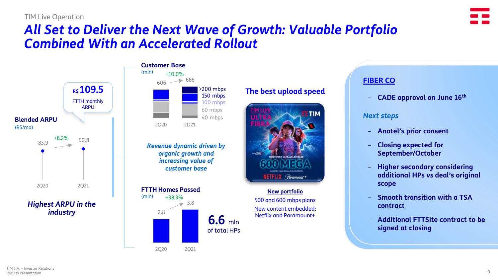# *All Set to Deliver the Next Wave of Growth: Valuable Portfolio Combined With an Accelerated Rollout*



#### $(mln)$   $+10.0\%$ **Customer Base**



*Revenue dynamic driven by organic growth and increasing value of customer base*



# **The best upload speed**



#### **New portfolio**

500 and 600 mbps plans New content embedded: Netflix and Paramount+

# **FIBER CO**

– **CADE approval on June 16th**

#### *Next steps*

- **Anatel's prior consent**
- **Closing expected for September/October**
- **Higher secondary considering additional HPs** *vs* **deal's original scope**
- **Smooth transition with a TSA contract**
- **Additional FTTSite contract to be signed at closing**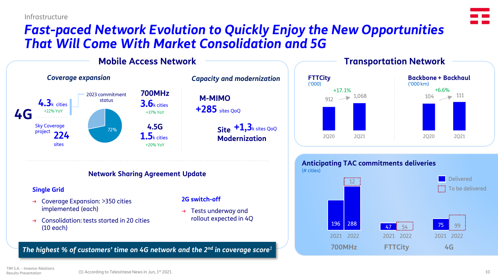Infrastructure

# *Fast-paced Network Evolution to Quickly Enjoy the New Opportunities That Will Come With Market Consolidation and 5G*





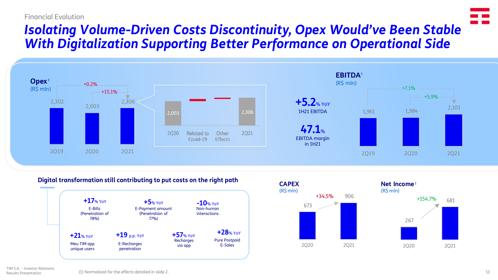#### Financial Evolution

# *Isolating Volume-Driven Costs Discontinuity, Opex Would've Been Stable With Digitalization Supporting Better Performance on Operational Side*



#### **Digital transformation still contributing to put costs on the right path**





681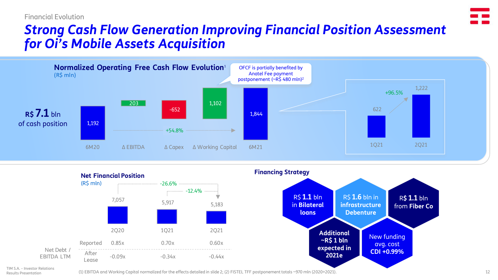# *Strong Cash Flow Generation Improving Financial Position Assessment for Oi's Mobile Assets Acquisition*





TIM S.A. – Investor Relations Results Presentation

(1) EBITDA and Working Capital normalized for the effects detailed in slide 2; (2) FISTEL TFF postponement totals ~970 mln (2020+2021).